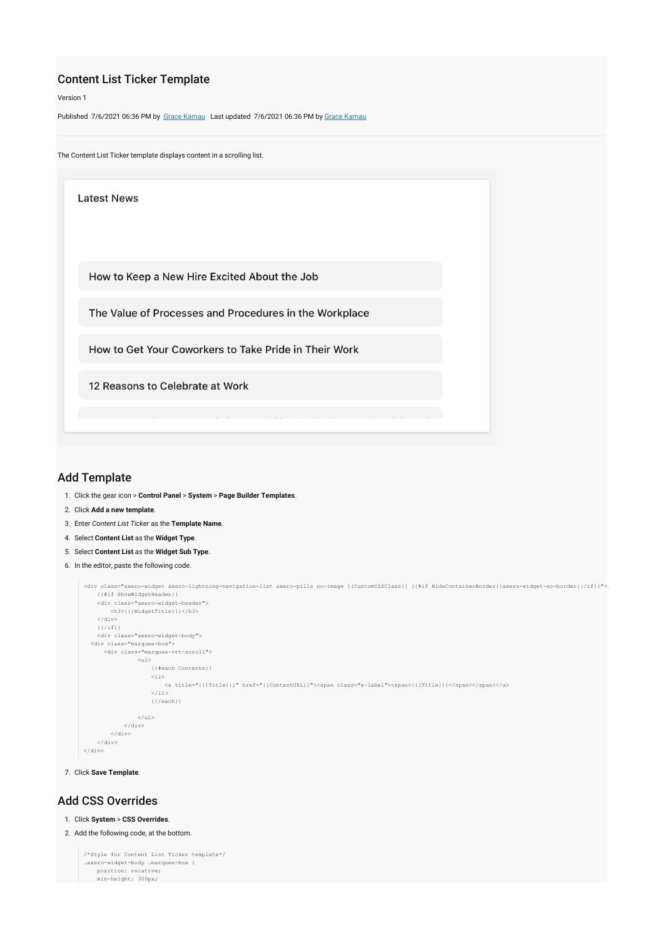# Content List Ticker Template

Version 1

Published 7/6/2021 06:36 PM by [Grace Kamau](https://my.axerosolutions.com/people/gskamau) Last updated 7/6/2021 06:36 PM by [Grace Kamau](https://my.axerosolutions.com/people/gskamau)





## Add Template

- 1. Click the gear icon > **Control Panel** > **System** > **Page Builder Templates**.
- 2. Click **Add a new template**.
- 3. Enter *Content List Ticker* as the **Template Name**.
- 4. Select **Content List** as the **Widget Type**.
- 5. Select **Content List** as the **Widget Sub Type**.
- 6. In the editor, paste the following code.

```
<div class="axero-widget axero-lightning-navigation-list axero-pills no-image {{CustomCSSClass}} {{#if HideContainerBorder}}axero-widget-no-border{{/if}}">
     {{#if ShowWidgetHeader}}
     <div class="axero-widget-header">
         <h3>{{{WidgetTitle}}}</h3>
    \langle/div>({}/if}) <div class="axero-widget-body">
   <div class="marquee-box">
        <div class="marquee-vrt-scroll">
                  <sub>ul</sub></sub>
                         {{#each Contents}}
                        \langleli>
                             \leq a \ \ \text{title}=\text{"{{Title}}\})\text{''} \ \ \text{href{http://spanclass="x-label">>span}{\text{{{Title}}}\} \leq \text{span}\times\text{{{span}}\times\text{{+{a}}}2/135 {{/each}}
                   \epsilon/ul>
               </div>
          </div>
     </div>
\frac{1}{\sqrt{2}}
```
7. Click **Save Template**.

### Add CSS Overrides

### 1. Click **System** > **CSS Overrides**.

```
2. Add the following code, at the bottom.
```

```
/*Style for Content List Ticker template*/
.axero-widget-body .marquee-box {
 position: relative;
 min-height: 300px;
```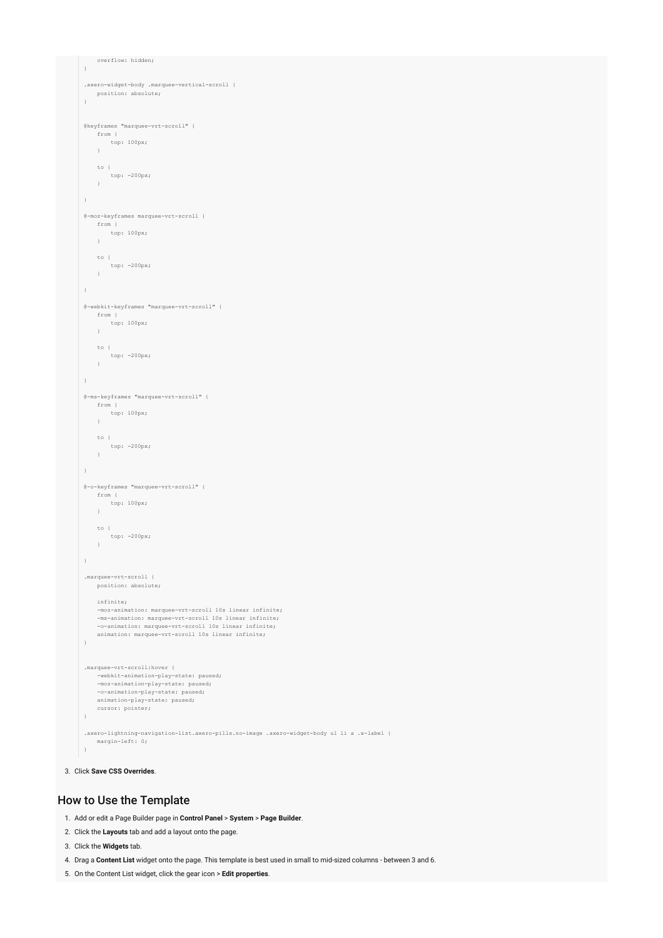```
 overflow: hidden;
 \rightarrow.axero-widget-body .marquee-vertical-scroll {
   position: absolute;
 }
 @keyframes "marquee-vrt-scroll" {
    from {
         top: 100px;
     }
   to {
 top: -200px;
 }
 }
 @-moz-keyframes marquee-vrt-scroll {
   from {
 top: 100px;
 }
   to {
 top: -200px;
 }
 }
 @-webkit-keyframes "marquee-vrt-scroll" {
      from {
         top: 100px;
      }
     to {
         top: -200px;
      }
  }
 @-ms-keyframes "marquee-vrt-scroll" {
     from {
         top: 100px;
    \rightarrow to {
 top: -200px;
 }
 }
 @-o-keyframes "marquee-vrt-scroll" {
   from {
 top: 100px;
 }
     to {
         top: -200px;
      }
 }
 .marquee-vrt-scroll {
     position: absolute;
     infinite;
      -moz-animation: marquee-vrt-scroll 10s linear infinite;
      -ms-animation: marquee-vrt-scroll 10s linear infinite;
      -o-animation: marquee-vrt-scroll 10s linear infinite;
     animation: marquee-vrt-scroll 10s linear infinite;
 }
 .marquee-vrt-scroll:hover {
     -webkit-animation-play-state: paused;
      -moz-animation-play-state: paused;
   -o-animation-play-state: paused;
 animation-play-state: paused;
     cursor: pointer;
 \overline{ }.axero-lightning-navigation-list.axero-pills.no-image .axero-widget-body ul li a .x-label {
     margin-left: 0;
 }
```
#### 3. Click **Save CSS Overrides**.

### How to Use the Template

- 1. Add or edit a Page Builder page in **Control Panel** > **System** > **Page Builder**.
- 2. Click the **Layouts** tab and add a layout onto the page.
- 3. Click the **Widgets** tab.
- 4. Drag a **Content List** widget onto the page. This template is best used in small to mid-sized columns between 3 and 6.
- 5. On the Content List widget, click the gear icon > **Edit properties**.